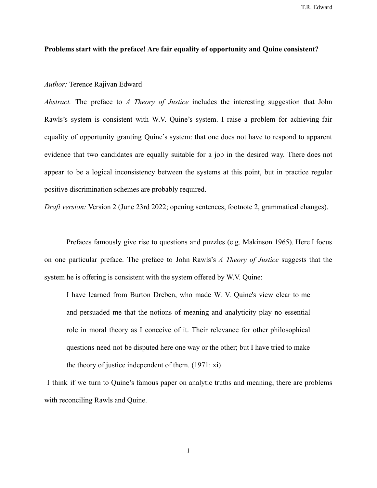T.R. Edward

## **Problems start with the preface! Are fair equality of opportunity and Quine consistent?**

## *Author:* Terence Rajivan Edward

*Abstract.* The preface to *A Theory of Justice* includes the interesting suggestion that John Rawls's system is consistent with W.V. Quine's system. I raise a problem for achieving fair equality of opportunity granting Quine's system: that one does not have to respond to apparent evidence that two candidates are equally suitable for a job in the desired way. There does not appear to be a logical inconsistency between the systems at this point, but in practice regular positive discrimination schemes are probably required.

*Draft version:* Version 2 (June 23rd 2022; opening sentences, footnote 2, grammatical changes).

Prefaces famously give rise to questions and puzzles (e.g. Makinson 1965). Here I focus on one particular preface. The preface to John Rawls's *A Theory of Justice* suggests that the system he is offering is consistent with the system offered by W.V. Quine:

I have learned from Burton Dreben, who made W. V. Quine's view clear to me and persuaded me that the notions of meaning and analyticity play no essential role in moral theory as I conceive of it. Their relevance for other philosophical questions need not be disputed here one way or the other; but I have tried to make the theory of justice independent of them. (1971: xi)

I think if we turn to Quine's famous paper on analytic truths and meaning, there are problems with reconciling Rawls and Quine.

1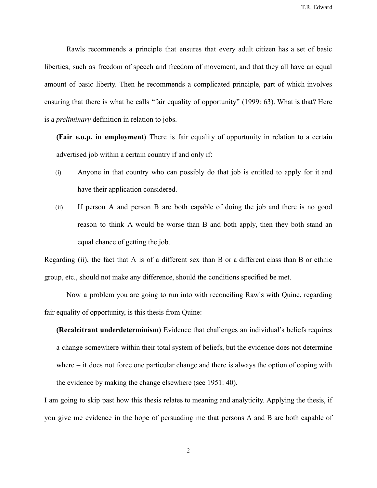Rawls recommends a principle that ensures that every adult citizen has a set of basic liberties, such as freedom of speech and freedom of movement, and that they all have an equal amount of basic liberty. Then he recommends a complicated principle, part of which involves ensuring that there is what he calls "fair equality of opportunity" (1999: 63). What is that? Here is a *preliminary* definition in relation to jobs.

**(Fair e.o.p. in employment)** There is fair equality of opportunity in relation to a certain advertised job within a certain country if and only if:

- (i) Anyone in that country who can possibly do that job is entitled to apply for it and have their application considered.
- (ii) If person A and person B are both capable of doing the job and there is no good reason to think A would be worse than B and both apply, then they both stand an equal chance of getting the job.

Regarding (ii), the fact that A is of a different sex than B or a different class than B or ethnic group, etc., should not make any difference, should the conditions specified be met.

Now a problem you are going to run into with reconciling Rawls with Quine, regarding fair equality of opportunity, is this thesis from Quine:

**(Recalcitrant underdeterminism)** Evidence that challenges an individual's beliefs requires a change somewhere within their total system of beliefs, but the evidence does not determine where – it does not force one particular change and there is always the option of coping with the evidence by making the change elsewhere (see 1951: 40).

I am going to skip past how this thesis relates to meaning and analyticity. Applying the thesis, if you give me evidence in the hope of persuading me that persons A and B are both capable of

2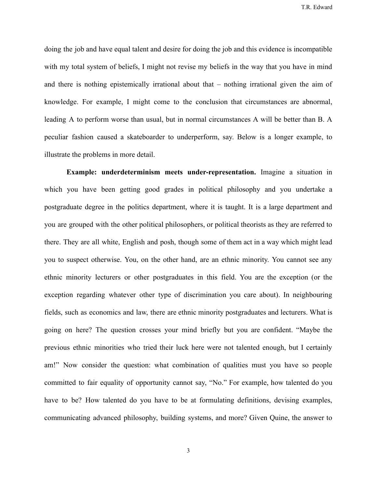T.R. Edward

doing the job and have equal talent and desire for doing the job and this evidence is incompatible with my total system of beliefs. I might not revise my beliefs in the way that you have in mind and there is nothing epistemically irrational about that – nothing irrational given the aim of knowledge. For example, I might come to the conclusion that circumstances are abnormal, leading A to perform worse than usual, but in normal circumstances A will be better than B. A peculiar fashion caused a skateboarder to underperform, say. Below is a longer example, to illustrate the problems in more detail.

**Example: underdeterminism meets under-representation.** Imagine a situation in which you have been getting good grades in political philosophy and you undertake a postgraduate degree in the politics department, where it is taught. It is a large department and you are grouped with the other political philosophers, or political theorists as they are referred to there. They are all white, English and posh, though some of them act in a way which might lead you to suspect otherwise. You, on the other hand, are an ethnic minority. You cannot see any ethnic minority lecturers or other postgraduates in this field. You are the exception (or the exception regarding whatever other type of discrimination you care about). In neighbouring fields, such as economics and law, there are ethnic minority postgraduates and lecturers. What is going on here? The question crosses your mind briefly but you are confident. "Maybe the previous ethnic minorities who tried their luck here were not talented enough, but I certainly am!" Now consider the question: what combination of qualities must you have so people committed to fair equality of opportunity cannot say, "No." For example, how talented do you have to be? How talented do you have to be at formulating definitions, devising examples, communicating advanced philosophy, building systems, and more? Given Quine, the answer to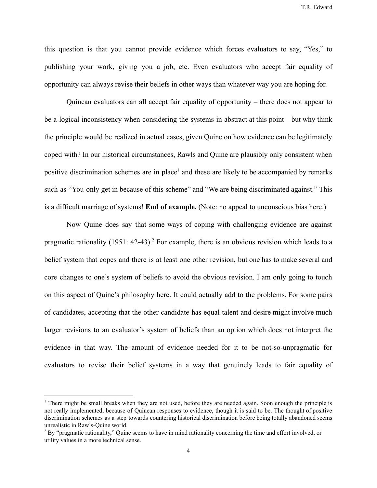T.R. Edward

this question is that you cannot provide evidence which forces evaluators to say, "Yes," to publishing your work, giving you a job, etc. Even evaluators who accept fair equality of opportunity can always revise their beliefs in other ways than whatever way you are hoping for.

Quinean evaluators can all accept fair equality of opportunity – there does not appear to be a logical inconsistency when considering the systems in abstract at this point – but why think the principle would be realized in actual cases, given Quine on how evidence can be legitimately coped with? In our historical circumstances, Rawls and Quine are plausibly only consistent when positive discrimination schemes are in place<sup>1</sup> and these are likely to be accompanied by remarks such as "You only get in because of this scheme" and "We are being discriminated against." This is a difficult marriage of systems! **End of example.** (Note: no appeal to unconscious bias here.)

Now Quine does say that some ways of coping with challenging evidence are against pragmatic rationality  $(1951: 42-43).$ <sup>2</sup> For example, there is an obvious revision which leads to a belief system that copes and there is at least one other revision, but one has to make several and core changes to one's system of beliefs to avoid the obvious revision. I am only going to touch on this aspect of Quine's philosophy here. It could actually add to the problems. For some pairs of candidates, accepting that the other candidate has equal talent and desire might involve much larger revisions to an evaluator's system of beliefs than an option which does not interpret the evidence in that way. The amount of evidence needed for it to be not-so-unpragmatic for evaluators to revise their belief systems in a way that genuinely leads to fair equality of

<sup>&</sup>lt;sup>1</sup> There might be small breaks when they are not used, before they are needed again. Soon enough the principle is not really implemented, because of Quinean responses to evidence, though it is said to be. The thought of positive discrimination schemes as a step towards countering historical discrimination before being totally abandoned seems unrealistic in Rawls-Quine world.

<sup>&</sup>lt;sup>2</sup> By "pragmatic rationality," Quine seems to have in mind rationality concerning the time and effort involved, or utility values in a more technical sense.